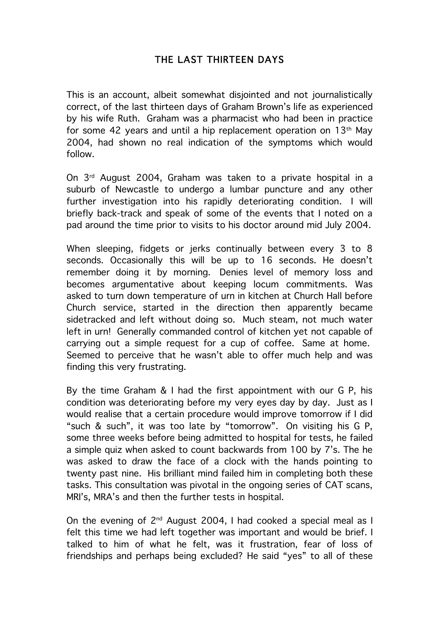## THE LAST THIRTEEN DAYS

This is an account, albeit somewhat disjointed and not journalistically correct, of the last thirteen days of Graham Brown's life as experienced by his wife Ruth. Graham was a pharmacist who had been in practice for some 42 years and until a hip replacement operation on  $13<sup>th</sup>$  May 2004, had shown no real indication of the symptoms which would follow.

On 3rd August 2004, Graham was taken to a private hospital in a suburb of Newcastle to undergo a lumbar puncture and any other further investigation into his rapidly deteriorating condition. I will briefly back-track and speak of some of the events that I noted on a pad around the time prior to visits to his doctor around mid July 2004.

When sleeping, fidgets or jerks continually between every 3 to 8 seconds. Occasionally this will be up to 16 seconds. He doesn't remember doing it by morning. Denies level of memory loss and becomes argumentative about keeping locum commitments. Was asked to turn down temperature of urn in kitchen at Church Hall before Church service, started in the direction then apparently became sidetracked and left without doing so. Much steam, not much water left in urn! Generally commanded control of kitchen yet not capable of carrying out a simple request for a cup of coffee. Same at home. Seemed to perceive that he wasn't able to offer much help and was finding this very frustrating.

By the time Graham & I had the first appointment with our G P, his condition was deteriorating before my very eyes day by day. Just as I would realise that a certain procedure would improve tomorrow if I did "such & such", it was too late by "tomorrow". On visiting his G P, some three weeks before being admitted to hospital for tests, he failed a simple quiz when asked to count backwards from 100 by 7's. The he was asked to draw the face of a clock with the hands pointing to twenty past nine. His brilliant mind failed him in completing both these tasks. This consultation was pivotal in the ongoing series of CAT scans, MRI's, MRA's and then the further tests in hospital.

On the evening of 2nd August 2004, I had cooked a special meal as I felt this time we had left together was important and would be brief. I talked to him of what he felt, was it frustration, fear of loss of friendships and perhaps being excluded? He said "yes" to all of these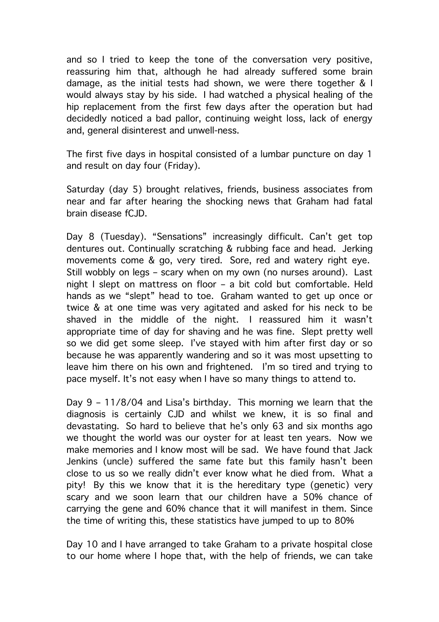and so I tried to keep the tone of the conversation very positive, reassuring him that, although he had already suffered some brain damage, as the initial tests had shown, we were there together & I would always stay by his side. I had watched a physical healing of the hip replacement from the first few days after the operation but had decidedly noticed a bad pallor, continuing weight loss, lack of energy and, general disinterest and unwell-ness.

The first five days in hospital consisted of a lumbar puncture on day 1 and result on day four (Friday).

Saturday (day 5) brought relatives, friends, business associates from near and far after hearing the shocking news that Graham had fatal brain disease fCJD.

Day 8 (Tuesday). "Sensations" increasingly difficult. Can't get top dentures out. Continually scratching & rubbing face and head. Jerking movements come & go, very tired. Sore, red and watery right eye. Still wobbly on legs – scary when on my own (no nurses around). Last night I slept on mattress on floor – a bit cold but comfortable. Held hands as we "slept" head to toe. Graham wanted to get up once or twice & at one time was very agitated and asked for his neck to be shaved in the middle of the night. I reassured him it wasn't appropriate time of day for shaving and he was fine. Slept pretty well so we did get some sleep. I've stayed with him after first day or so because he was apparently wandering and so it was most upsetting to leave him there on his own and frightened. I'm so tired and trying to pace myself. It's not easy when I have so many things to attend to.

Day 9 – 11/8/04 and Lisa's birthday. This morning we learn that the diagnosis is certainly CJD and whilst we knew, it is so final and devastating. So hard to believe that he's only 63 and six months ago we thought the world was our oyster for at least ten years. Now we make memories and I know most will be sad. We have found that Jack Jenkins (uncle) suffered the same fate but this family hasn't been close to us so we really didn't ever know what he died from. What a pity! By this we know that it is the hereditary type (genetic) very scary and we soon learn that our children have a 50% chance of carrying the gene and 60% chance that it will manifest in them. Since the time of writing this, these statistics have jumped to up to 80%

Day 10 and I have arranged to take Graham to a private hospital close to our home where I hope that, with the help of friends, we can take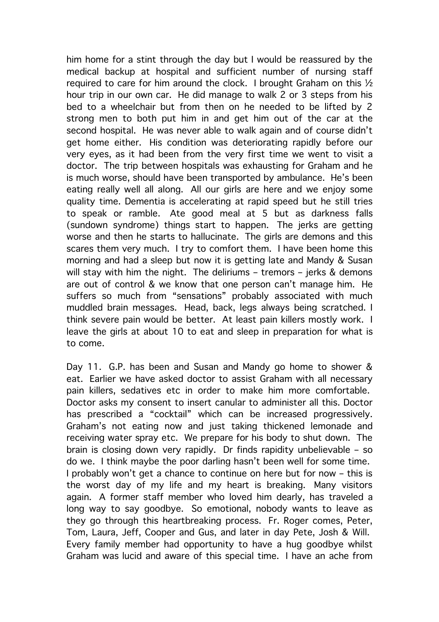him home for a stint through the day but I would be reassured by the medical backup at hospital and sufficient number of nursing staff required to care for him around the clock. I brought Graham on this  $1/2$ hour trip in our own car. He did manage to walk 2 or 3 steps from his bed to a wheelchair but from then on he needed to be lifted by 2 strong men to both put him in and get him out of the car at the second hospital. He was never able to walk again and of course didn't get home either. His condition was deteriorating rapidly before our very eyes, as it had been from the very first time we went to visit a doctor. The trip between hospitals was exhausting for Graham and he is much worse, should have been transported by ambulance. He's been eating really well all along. All our girls are here and we enjoy some quality time. Dementia is accelerating at rapid speed but he still tries to speak or ramble. Ate good meal at 5 but as darkness falls (sundown syndrome) things start to happen. The jerks are getting worse and then he starts to hallucinate. The girls are demons and this scares them very much. I try to comfort them. I have been home this morning and had a sleep but now it is getting late and Mandy & Susan will stay with him the night. The deliriums - tremors - jerks & demons are out of control & we know that one person can't manage him. He suffers so much from "sensations" probably associated with much muddled brain messages. Head, back, legs always being scratched. I think severe pain would be better. At least pain killers mostly work. I leave the girls at about 10 to eat and sleep in preparation for what is to come.

Day 11. G.P. has been and Susan and Mandy go home to shower & eat. Earlier we have asked doctor to assist Graham with all necessary pain killers, sedatives etc in order to make him more comfortable. Doctor asks my consent to insert canular to administer all this. Doctor has prescribed a "cocktail" which can be increased progressively. Graham's not eating now and just taking thickened lemonade and receiving water spray etc. We prepare for his body to shut down. The brain is closing down very rapidly. Dr finds rapidity unbelievable – so do we. I think maybe the poor darling hasn't been well for some time. I probably won't get a chance to continue on here but for now – this is the worst day of my life and my heart is breaking. Many visitors again. A former staff member who loved him dearly, has traveled a long way to say goodbye. So emotional, nobody wants to leave as they go through this heartbreaking process. Fr. Roger comes, Peter, Tom, Laura, Jeff, Cooper and Gus, and later in day Pete, Josh & Will. Every family member had opportunity to have a hug goodbye whilst Graham was lucid and aware of this special time. I have an ache from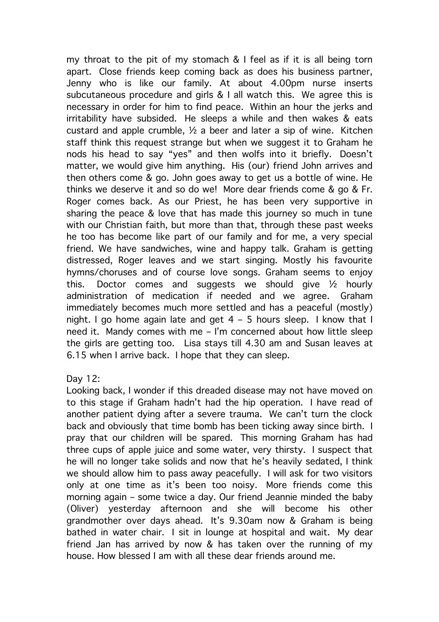my throat to the pit of my stomach & I feel as if it is all being torn apart. Close friends keep coming back as does his business partner, Jenny who is like our family. At about 4.00pm nurse inserts subcutaneous procedure and girls & I all watch this. We agree this is necessary in order for him to find peace. Within an hour the jerks and irritability have subsided. He sleeps a while and then wakes & eats custard and apple crumble,  $\frac{1}{2}$  a beer and later a sip of wine. Kitchen staff think this request strange but when we suggest it to Graham he nods his head to say "yes" and then wolfs into it briefly. Doesn't matter, we would give him anything. His (our) friend John arrives and then others come & go. John goes away to get us a bottle of wine. He thinks we deserve it and so do we! More dear friends come & go & Fr. Roger comes back. As our Priest, he has been very supportive in sharing the peace & love that has made this journey so much in tune with our Christian faith, but more than that, through these past weeks he too has become like part of our family and for me, a very special friend. We have sandwiches, wine and happy talk. Graham is getting distressed, Roger leaves and we start singing. Mostly his favourite hymns/choruses and of course love songs. Graham seems to enjoy this. Doctor comes and suggests we should give  $\frac{1}{2}$  hourly administration of medication if needed and we agree. Graham immediately becomes much more settled and has a peaceful (mostly) night. I go home again late and get 4 – 5 hours sleep. I know that I need it. Mandy comes with me – I'm concerned about how little sleep the girls are getting too. Lisa stays till 4.30 am and Susan leaves at 6.15 when I arrive back. I hope that they can sleep.

Day 12:

Looking back, I wonder if this dreaded disease may not have moved on to this stage if Graham hadn't had the hip operation. I have read of another patient dying after a severe trauma. We can't turn the clock back and obviously that time bomb has been ticking away since birth. I pray that our children will be spared. This morning Graham has had three cups of apple juice and some water, very thirsty. I suspect that he will no longer take solids and now that he's heavily sedated, I think we should allow him to pass away peacefully. I will ask for two visitors only at one time as it's been too noisy. More friends come this morning again – some twice a day. Our friend Jeannie minded the baby (Oliver) yesterday afternoon and she will become his other grandmother over days ahead. It's 9.30am now & Graham is being bathed in water chair. I sit in lounge at hospital and wait. My dear friend Jan has arrived by now & has taken over the running of my house. How blessed I am with all these dear friends around me.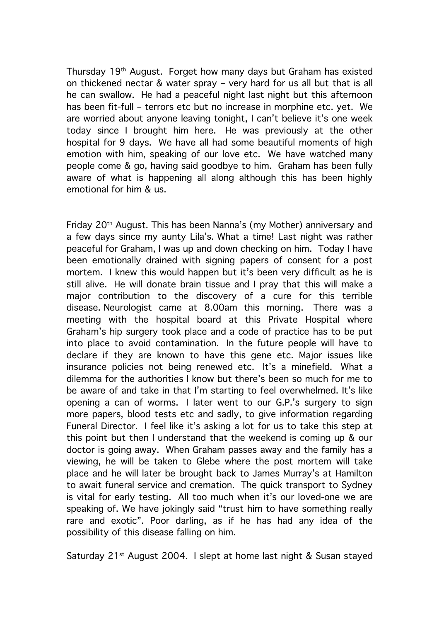Thursday 19th August. Forget how many days but Graham has existed on thickened nectar & water spray – very hard for us all but that is all he can swallow. He had a peaceful night last night but this afternoon has been fit-full – terrors etc but no increase in morphine etc. yet. We are worried about anyone leaving tonight, I can't believe it's one week today since I brought him here. He was previously at the other hospital for 9 days. We have all had some beautiful moments of high emotion with him, speaking of our love etc. We have watched many people come & go, having said goodbye to him. Graham has been fully aware of what is happening all along although this has been highly emotional for him & us.

Friday 20th August. This has been Nanna's (my Mother) anniversary and a few days since my aunty Lila's. What a time! Last night was rather peaceful for Graham, I was up and down checking on him. Today I have been emotionally drained with signing papers of consent for a post mortem. I knew this would happen but it's been very difficult as he is still alive. He will donate brain tissue and I pray that this will make a major contribution to the discovery of a cure for this terrible disease. Neurologist came at 8.00am this morning. There was a meeting with the hospital board at this Private Hospital where Graham's hip surgery took place and a code of practice has to be put into place to avoid contamination. In the future people will have to declare if they are known to have this gene etc. Major issues like insurance policies not being renewed etc. It's a minefield. What a dilemma for the authorities I know but there's been so much for me to be aware of and take in that I'm starting to feel overwhelmed. It's like opening a can of worms. I later went to our G.P.'s surgery to sign more papers, blood tests etc and sadly, to give information regarding Funeral Director. I feel like it's asking a lot for us to take this step at this point but then I understand that the weekend is coming up & our doctor is going away. When Graham passes away and the family has a viewing, he will be taken to Glebe where the post mortem will take place and he will later be brought back to James Murray's at Hamilton to await funeral service and cremation. The quick transport to Sydney is vital for early testing. All too much when it's our loved-one we are speaking of. We have jokingly said "trust him to have something really rare and exotic". Poor darling, as if he has had any idea of the possibility of this disease falling on him.

Saturday 21<sup>st</sup> August 2004. I slept at home last night & Susan stayed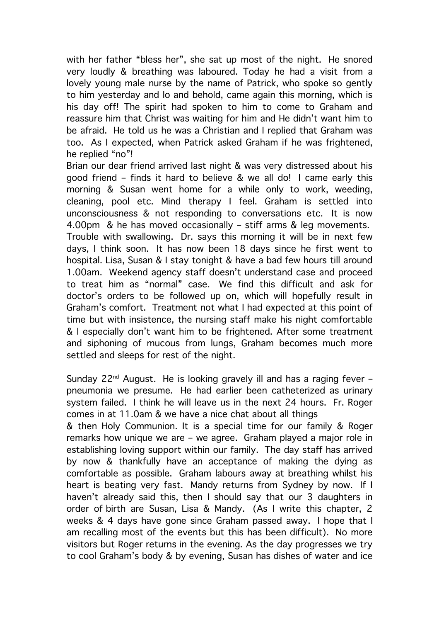with her father "bless her", she sat up most of the night. He snored very loudly & breathing was laboured. Today he had a visit from a lovely young male nurse by the name of Patrick, who spoke so gently to him yesterday and lo and behold, came again this morning, which is his day off! The spirit had spoken to him to come to Graham and reassure him that Christ was waiting for him and He didn't want him to be afraid. He told us he was a Christian and I replied that Graham was too. As I expected, when Patrick asked Graham if he was frightened, he replied "no"!

Brian our dear friend arrived last night & was very distressed about his good friend – finds it hard to believe & we all do! I came early this morning & Susan went home for a while only to work, weeding, cleaning, pool etc. Mind therapy I feel. Graham is settled into unconsciousness & not responding to conversations etc. It is now 4.00pm & he has moved occasionally – stiff arms & leg movements. Trouble with swallowing. Dr. says this morning it will be in next few days, I think soon. It has now been 18 days since he first went to hospital. Lisa, Susan & I stay tonight & have a bad few hours till around 1.00am. Weekend agency staff doesn't understand case and proceed to treat him as "normal" case. We find this difficult and ask for doctor's orders to be followed up on, which will hopefully result in Graham's comfort. Treatment not what I had expected at this point of time but with insistence, the nursing staff make his night comfortable & I especially don't want him to be frightened. After some treatment and siphoning of mucous from lungs, Graham becomes much more settled and sleeps for rest of the night.

Sunday 22<sup>nd</sup> August. He is looking gravely ill and has a raging fever pneumonia we presume. He had earlier been catheterized as urinary system failed. I think he will leave us in the next 24 hours. Fr. Roger comes in at 11.0am & we have a nice chat about all things

& then Holy Communion. It is a special time for our family & Roger remarks how unique we are – we agree. Graham played a major role in establishing loving support within our family. The day staff has arrived by now & thankfully have an acceptance of making the dying as comfortable as possible. Graham labours away at breathing whilst his heart is beating very fast. Mandy returns from Sydney by now. If I haven't already said this, then I should say that our 3 daughters in order of birth are Susan, Lisa & Mandy. (As I write this chapter, 2 weeks & 4 days have gone since Graham passed away. I hope that I am recalling most of the events but this has been difficult). No more visitors but Roger returns in the evening. As the day progresses we try to cool Graham's body & by evening, Susan has dishes of water and ice